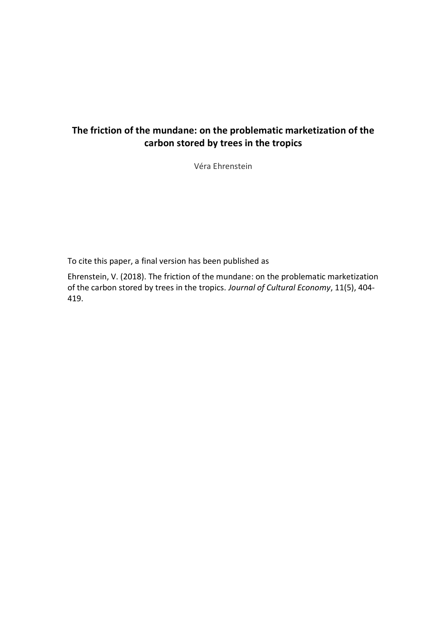# **The friction of the mundane: on the problematic marketization of the carbon stored by trees in the tropics**

Véra Ehrenstein

To cite this paper, a final version has been published as

Ehrenstein, V. (2018). The friction of the mundane: on the problematic marketization of the carbon stored by trees in the tropics. *Journal of Cultural Economy*, 11(5), 404- 419.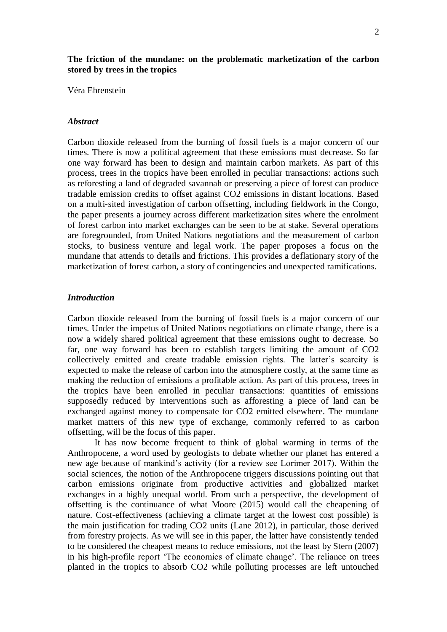Véra Ehrenstein

#### *Abstract*

Carbon dioxide released from the burning of fossil fuels is a major concern of our times. There is now a political agreement that these emissions must decrease. So far one way forward has been to design and maintain carbon markets. As part of this process, trees in the tropics have been enrolled in peculiar transactions: actions such as reforesting a land of degraded savannah or preserving a piece of forest can produce tradable emission credits to offset against CO2 emissions in distant locations. Based on a multi-sited investigation of carbon offsetting, including fieldwork in the Congo, the paper presents a journey across different marketization sites where the enrolment of forest carbon into market exchanges can be seen to be at stake. Several operations are foregrounded, from United Nations negotiations and the measurement of carbon stocks, to business venture and legal work. The paper proposes a focus on the mundane that attends to details and frictions. This provides a deflationary story of the marketization of forest carbon, a story of contingencies and unexpected ramifications.

## *Introduction*

Carbon dioxide released from the burning of fossil fuels is a major concern of our times. Under the impetus of United Nations negotiations on climate change, there is a now a widely shared political agreement that these emissions ought to decrease. So far, one way forward has been to establish targets limiting the amount of CO2 collectively emitted and create tradable emission rights. The latter's scarcity is expected to make the release of carbon into the atmosphere costly, at the same time as making the reduction of emissions a profitable action. As part of this process, trees in the tropics have been enrolled in peculiar transactions: quantities of emissions supposedly reduced by interventions such as afforesting a piece of land can be exchanged against money to compensate for CO2 emitted elsewhere. The mundane market matters of this new type of exchange, commonly referred to as carbon offsetting, will be the focus of this paper.

It has now become frequent to think of global warming in terms of the Anthropocene, a word used by geologists to debate whether our planet has entered a new age because of mankind's activity (for a review see Lorimer 2017). Within the social sciences, the notion of the Anthropocene triggers discussions pointing out that carbon emissions originate from productive activities and globalized market exchanges in a highly unequal world. From such a perspective, the development of offsetting is the continuance of what Moore (2015) would call the cheapening of nature. Cost-effectiveness (achieving a climate target at the lowest cost possible) is the main justification for trading CO2 units (Lane 2012), in particular, those derived from forestry projects. As we will see in this paper, the latter have consistently tended to be considered the cheapest means to reduce emissions, not the least by Stern (2007) in his high-profile report 'The economics of climate change'. The reliance on trees planted in the tropics to absorb CO2 while polluting processes are left untouched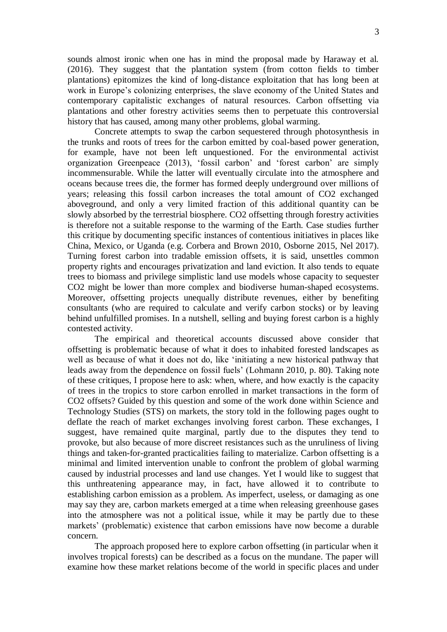sounds almost ironic when one has in mind the proposal made by Haraway et al. (2016). They suggest that the plantation system (from cotton fields to timber plantations) epitomizes the kind of long-distance exploitation that has long been at work in Europe's colonizing enterprises, the slave economy of the United States and contemporary capitalistic exchanges of natural resources. Carbon offsetting via plantations and other forestry activities seems then to perpetuate this controversial history that has caused, among many other problems, global warming.

Concrete attempts to swap the carbon sequestered through photosynthesis in the trunks and roots of trees for the carbon emitted by coal-based power generation, for example, have not been left unquestioned. For the environmental activist organization Greenpeace (2013), 'fossil carbon' and 'forest carbon' are simply incommensurable. While the latter will eventually circulate into the atmosphere and oceans because trees die, the former has formed deeply underground over millions of years; releasing this fossil carbon increases the total amount of CO2 exchanged aboveground, and only a very limited fraction of this additional quantity can be slowly absorbed by the terrestrial biosphere. CO2 offsetting through forestry activities is therefore not a suitable response to the warming of the Earth. Case studies further this critique by documenting specific instances of contentious initiatives in places like China, Mexico, or Uganda (e.g. Corbera and Brown 2010, Osborne 2015, Nel 2017). Turning forest carbon into tradable emission offsets, it is said, unsettles common property rights and encourages privatization and land eviction. It also tends to equate trees to biomass and privilege simplistic land use models whose capacity to sequester CO2 might be lower than more complex and biodiverse human-shaped ecosystems. Moreover, offsetting projects unequally distribute revenues, either by benefiting consultants (who are required to calculate and verify carbon stocks) or by leaving behind unfulfilled promises. In a nutshell, selling and buying forest carbon is a highly contested activity.

The empirical and theoretical accounts discussed above consider that offsetting is problematic because of what it does to inhabited forested landscapes as well as because of what it does not do, like 'initiating a new historical pathway that leads away from the dependence on fossil fuels' (Lohmann 2010, p. 80). Taking note of these critiques, I propose here to ask: when, where, and how exactly is the capacity of trees in the tropics to store carbon enrolled in market transactions in the form of CO2 offsets? Guided by this question and some of the work done within Science and Technology Studies (STS) on markets, the story told in the following pages ought to deflate the reach of market exchanges involving forest carbon. These exchanges, I suggest, have remained quite marginal, partly due to the disputes they tend to provoke, but also because of more discreet resistances such as the unruliness of living things and taken-for-granted practicalities failing to materialize. Carbon offsetting is a minimal and limited intervention unable to confront the problem of global warming caused by industrial processes and land use changes. Yet I would like to suggest that this unthreatening appearance may, in fact, have allowed it to contribute to establishing carbon emission as a problem. As imperfect, useless, or damaging as one may say they are, carbon markets emerged at a time when releasing greenhouse gases into the atmosphere was not a political issue, while it may be partly due to these markets' (problematic) existence that carbon emissions have now become a durable concern.

The approach proposed here to explore carbon offsetting (in particular when it involves tropical forests) can be described as a focus on the mundane. The paper will examine how these market relations become of the world in specific places and under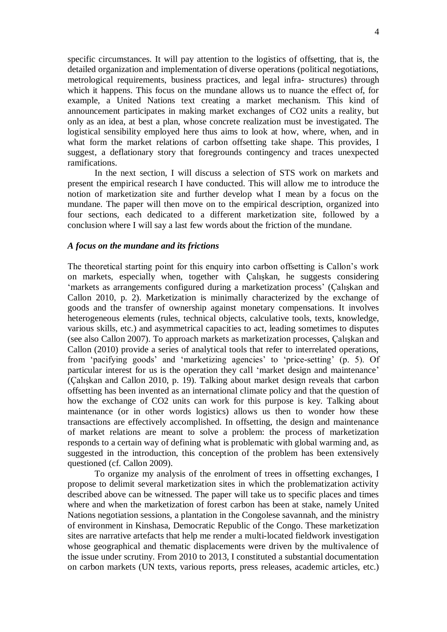specific circumstances. It will pay attention to the logistics of offsetting, that is, the detailed organization and implementation of diverse operations (political negotiations, metrological requirements, business practices, and legal infra- structures) through which it happens. This focus on the mundane allows us to nuance the effect of, for example, a United Nations text creating a market mechanism. This kind of announcement participates in making market exchanges of CO2 units a reality, but only as an idea, at best a plan, whose concrete realization must be investigated. The logistical sensibility employed here thus aims to look at how, where, when, and in what form the market relations of carbon offsetting take shape. This provides, I suggest, a deflationary story that foregrounds contingency and traces unexpected ramifications.

In the next section, I will discuss a selection of STS work on markets and present the empirical research I have conducted. This will allow me to introduce the notion of marketization site and further develop what I mean by a focus on the mundane. The paper will then move on to the empirical description, organized into four sections, each dedicated to a different marketization site, followed by a conclusion where I will say a last few words about the friction of the mundane.

## *A focus on the mundane and its frictions*

The theoretical starting point for this enquiry into carbon offsetting is Callon's work on markets, especially when, together with Çalışkan, he suggests considering 'markets as arrangements configured during a marketization process' (Çalışkan and Callon 2010, p. 2). Marketization is minimally characterized by the exchange of goods and the transfer of ownership against monetary compensations. It involves heterogeneous elements (rules, technical objects, calculative tools, texts, knowledge, various skills, etc.) and asymmetrical capacities to act, leading sometimes to disputes (see also Callon 2007). To approach markets as marketization processes, Çalışkan and Callon (2010) provide a series of analytical tools that refer to interrelated operations, from 'pacifying goods' and 'marketizing agencies' to 'price-setting' (p. 5). Of particular interest for us is the operation they call 'market design and maintenance' (Çalışkan and Callon 2010, p. 19). Talking about market design reveals that carbon offsetting has been invented as an international climate policy and that the question of how the exchange of CO2 units can work for this purpose is key. Talking about maintenance (or in other words logistics) allows us then to wonder how these transactions are effectively accomplished. In offsetting, the design and maintenance of market relations are meant to solve a problem: the process of marketization responds to a certain way of defining what is problematic with global warming and, as suggested in the introduction, this conception of the problem has been extensively questioned (cf. Callon 2009).

To organize my analysis of the enrolment of trees in offsetting exchanges, I propose to delimit several marketization sites in which the problematization activity described above can be witnessed. The paper will take us to specific places and times where and when the marketization of forest carbon has been at stake, namely United Nations negotiation sessions, a plantation in the Congolese savannah, and the ministry of environment in Kinshasa, Democratic Republic of the Congo. These marketization sites are narrative artefacts that help me render a multi-located fieldwork investigation whose geographical and thematic displacements were driven by the multivalence of the issue under scrutiny. From 2010 to 2013, I constituted a substantial documentation on carbon markets (UN texts, various reports, press releases, academic articles, etc.)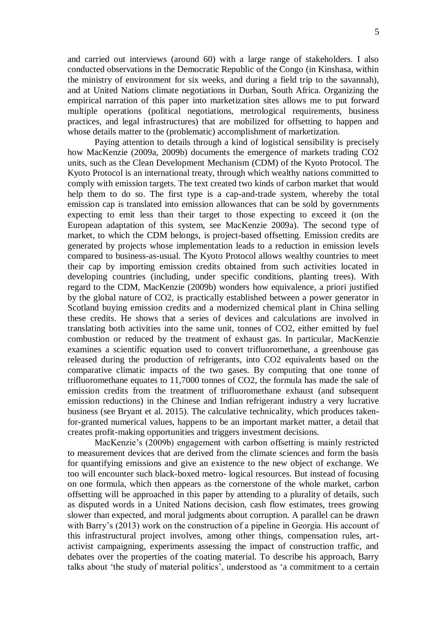and carried out interviews (around 60) with a large range of stakeholders. I also conducted observations in the Democratic Republic of the Congo (in Kinshasa, within the ministry of environment for six weeks, and during a field trip to the savannah), and at United Nations climate negotiations in Durban, South Africa. Organizing the empirical narration of this paper into marketization sites allows me to put forward multiple operations (political negotiations, metrological requirements, business practices, and legal infrastructures) that are mobilized for offsetting to happen and whose details matter to the (problematic) accomplishment of marketization.

Paying attention to details through a kind of logistical sensibility is precisely how MacKenzie (2009a, 2009b) documents the emergence of markets trading CO2 units, such as the Clean Development Mechanism (CDM) of the Kyoto Protocol. The Kyoto Protocol is an international treaty, through which wealthy nations committed to comply with emission targets. The text created two kinds of carbon market that would help them to do so. The first type is a cap-and-trade system, whereby the total emission cap is translated into emission allowances that can be sold by governments expecting to emit less than their target to those expecting to exceed it (on the European adaptation of this system, see MacKenzie 2009a). The second type of market, to which the CDM belongs, is project-based offsetting. Emission credits are generated by projects whose implementation leads to a reduction in emission levels compared to business-as-usual. The Kyoto Protocol allows wealthy countries to meet their cap by importing emission credits obtained from such activities located in developing countries (including, under specific conditions, planting trees). With regard to the CDM, MacKenzie (2009b) wonders how equivalence, a priori justified by the global nature of CO2, is practically established between a power generator in Scotland buying emission credits and a modernized chemical plant in China selling these credits. He shows that a series of devices and calculations are involved in translating both activities into the same unit, tonnes of CO2, either emitted by fuel combustion or reduced by the treatment of exhaust gas. In particular, MacKenzie examines a scientific equation used to convert trifluoromethane, a greenhouse gas released during the production of refrigerants, into CO2 equivalents based on the comparative climatic impacts of the two gases. By computing that one tonne of trifluoromethane equates to 11,7000 tonnes of CO2, the formula has made the sale of emission credits from the treatment of trifluoromethane exhaust (and subsequent emission reductions) in the Chinese and Indian refrigerant industry a very lucrative business (see Bryant et al. 2015). The calculative technicality, which produces takenfor-granted numerical values, happens to be an important market matter, a detail that creates profit-making opportunities and triggers investment decisions.

MacKenzie's (2009b) engagement with carbon offsetting is mainly restricted to measurement devices that are derived from the climate sciences and form the basis for quantifying emissions and give an existence to the new object of exchange. We too will encounter such black-boxed metro- logical resources. But instead of focusing on one formula, which then appears as the cornerstone of the whole market, carbon offsetting will be approached in this paper by attending to a plurality of details, such as disputed words in a United Nations decision, cash flow estimates, trees growing slower than expected, and moral judgments about corruption. A parallel can be drawn with Barry's (2013) work on the construction of a pipeline in Georgia. His account of this infrastructural project involves, among other things, compensation rules, artactivist campaigning, experiments assessing the impact of construction traffic, and debates over the properties of the coating material. To describe his approach, Barry talks about 'the study of material politics', understood as 'a commitment to a certain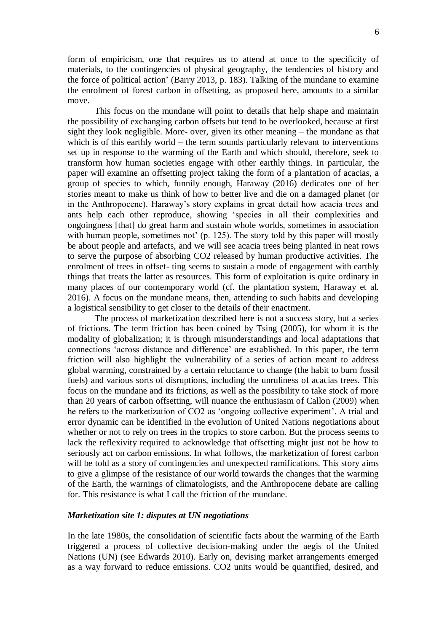form of empiricism, one that requires us to attend at once to the specificity of materials, to the contingencies of physical geography, the tendencies of history and the force of political action' (Barry 2013, p. 183). Talking of the mundane to examine the enrolment of forest carbon in offsetting, as proposed here, amounts to a similar move.

This focus on the mundane will point to details that help shape and maintain the possibility of exchanging carbon offsets but tend to be overlooked, because at first sight they look negligible. More- over, given its other meaning – the mundane as that which is of this earthly world – the term sounds particularly relevant to interventions set up in response to the warming of the Earth and which should, therefore, seek to transform how human societies engage with other earthly things. In particular, the paper will examine an offsetting project taking the form of a plantation of acacias, a group of species to which, funnily enough, Haraway (2016) dedicates one of her stories meant to make us think of how to better live and die on a damaged planet (or in the Anthropocene). Haraway's story explains in great detail how acacia trees and ants help each other reproduce, showing 'species in all their complexities and ongoingness [that] do great harm and sustain whole worlds, sometimes in association with human people, sometimes not' (p. 125). The story told by this paper will mostly be about people and artefacts, and we will see acacia trees being planted in neat rows to serve the purpose of absorbing CO2 released by human productive activities. The enrolment of trees in offset- ting seems to sustain a mode of engagement with earthly things that treats the latter as resources. This form of exploitation is quite ordinary in many places of our contemporary world (cf. the plantation system, Haraway et al. 2016). A focus on the mundane means, then, attending to such habits and developing a logistical sensibility to get closer to the details of their enactment.

The process of marketization described here is not a success story, but a series of frictions. The term friction has been coined by Tsing (2005), for whom it is the modality of globalization; it is through misunderstandings and local adaptations that connections 'across distance and difference' are established. In this paper, the term friction will also highlight the vulnerability of a series of action meant to address global warming, constrained by a certain reluctance to change (the habit to burn fossil fuels) and various sorts of disruptions, including the unruliness of acacias trees. This focus on the mundane and its frictions, as well as the possibility to take stock of more than 20 years of carbon offsetting, will nuance the enthusiasm of Callon (2009) when he refers to the marketization of CO2 as 'ongoing collective experiment'. A trial and error dynamic can be identified in the evolution of United Nations negotiations about whether or not to rely on trees in the tropics to store carbon. But the process seems to lack the reflexivity required to acknowledge that offsetting might just not be how to seriously act on carbon emissions. In what follows, the marketization of forest carbon will be told as a story of contingencies and unexpected ramifications. This story aims to give a glimpse of the resistance of our world towards the changes that the warming of the Earth, the warnings of climatologists, and the Anthropocene debate are calling for. This resistance is what I call the friction of the mundane.

# *Marketization site 1: disputes at UN negotiations*

In the late 1980s, the consolidation of scientific facts about the warming of the Earth triggered a process of collective decision-making under the aegis of the United Nations (UN) (see Edwards 2010). Early on, devising market arrangements emerged as a way forward to reduce emissions. CO2 units would be quantified, desired, and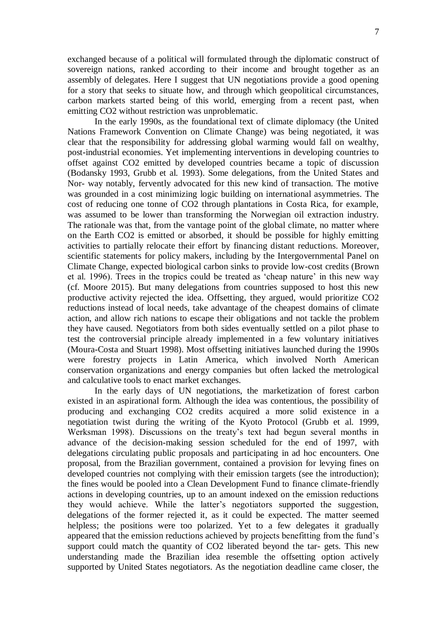exchanged because of a political will formulated through the diplomatic construct of sovereign nations, ranked according to their income and brought together as an assembly of delegates. Here I suggest that UN negotiations provide a good opening for a story that seeks to situate how, and through which geopolitical circumstances, carbon markets started being of this world, emerging from a recent past, when emitting CO2 without restriction was unproblematic.

In the early 1990s, as the foundational text of climate diplomacy (the United Nations Framework Convention on Climate Change) was being negotiated, it was clear that the responsibility for addressing global warming would fall on wealthy, post-industrial economies. Yet implementing interventions in developing countries to offset against CO2 emitted by developed countries became a topic of discussion (Bodansky 1993, Grubb et al. 1993). Some delegations, from the United States and Nor- way notably, fervently advocated for this new kind of transaction. The motive was grounded in a cost minimizing logic building on international asymmetries. The cost of reducing one tonne of CO2 through plantations in Costa Rica, for example, was assumed to be lower than transforming the Norwegian oil extraction industry. The rationale was that, from the vantage point of the global climate, no matter where on the Earth CO2 is emitted or absorbed, it should be possible for highly emitting activities to partially relocate their effort by financing distant reductions. Moreover, scientific statements for policy makers, including by the Intergovernmental Panel on Climate Change, expected biological carbon sinks to provide low-cost credits (Brown et al. 1996). Trees in the tropics could be treated as 'cheap nature' in this new way (cf. Moore 2015). But many delegations from countries supposed to host this new productive activity rejected the idea. Offsetting, they argued, would prioritize CO2 reductions instead of local needs, take advantage of the cheapest domains of climate action, and allow rich nations to escape their obligations and not tackle the problem they have caused. Negotiators from both sides eventually settled on a pilot phase to test the controversial principle already implemented in a few voluntary initiatives (Moura-Costa and Stuart 1998). Most offsetting initiatives launched during the 1990s were forestry projects in Latin America, which involved North American conservation organizations and energy companies but often lacked the metrological and calculative tools to enact market exchanges.

In the early days of UN negotiations, the marketization of forest carbon existed in an aspirational form. Although the idea was contentious, the possibility of producing and exchanging CO2 credits acquired a more solid existence in a negotiation twist during the writing of the Kyoto Protocol (Grubb et al. 1999, Werksman 1998). Discussions on the treaty's text had begun several months in advance of the decision-making session scheduled for the end of 1997, with delegations circulating public proposals and participating in ad hoc encounters. One proposal, from the Brazilian government, contained a provision for levying fines on developed countries not complying with their emission targets (see the introduction); the fines would be pooled into a Clean Development Fund to finance climate-friendly actions in developing countries, up to an amount indexed on the emission reductions they would achieve. While the latter's negotiators supported the suggestion, delegations of the former rejected it, as it could be expected. The matter seemed helpless; the positions were too polarized. Yet to a few delegates it gradually appeared that the emission reductions achieved by projects benefitting from the fund's support could match the quantity of CO2 liberated beyond the tar- gets. This new understanding made the Brazilian idea resemble the offsetting option actively supported by United States negotiators. As the negotiation deadline came closer, the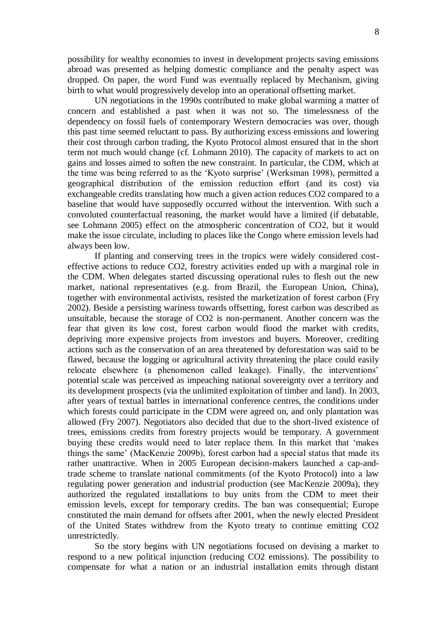possibility for wealthy economies to invest in development projects saving emissions abroad was presented as helping domestic compliance and the penalty aspect was dropped. On paper, the word Fund was eventually replaced by Mechanism, giving birth to what would progressively develop into an operational offsetting market.

UN negotiations in the 1990s contributed to make global warming a matter of concern and established a past when it was not so. The timelessness of the dependency on fossil fuels of contemporary Western democracies was over, though this past time seemed reluctant to pass. By authorizing excess emissions and lowering their cost through carbon trading, the Kyoto Protocol almost ensured that in the short term not much would change (cf. Lohmann 2010). The capacity of markets to act on gains and losses aimed to soften the new constraint. In particular, the CDM, which at the time was being referred to as the 'Kyoto surprise' (Werksman 1998), permitted a geographical distribution of the emission reduction effort (and its cost) via exchangeable credits translating how much a given action reduces CO2 compared to a baseline that would have supposedly occurred without the intervention. With such a convoluted counterfactual reasoning, the market would have a limited (if debatable, see Lohmann 2005) effect on the atmospheric concentration of CO2, but it would make the issue circulate, including to places like the Congo where emission levels had always been low.

If planting and conserving trees in the tropics were widely considered costeffective actions to reduce CO2, forestry activities ended up with a marginal role in the CDM. When delegates started discussing operational rules to flesh out the new market, national representatives (e.g. from Brazil, the European Union, China), together with environmental activists, resisted the marketization of forest carbon (Fry 2002). Beside a persisting wariness towards offsetting, forest carbon was described as unsuitable, because the storage of CO2 is non-permanent. Another concern was the fear that given its low cost, forest carbon would flood the market with credits, depriving more expensive projects from investors and buyers. Moreover, crediting actions such as the conservation of an area threatened by deforestation was said to be flawed, because the logging or agricultural activity threatening the place could easily relocate elsewhere (a phenomenon called leakage). Finally, the interventions' potential scale was perceived as impeaching national sovereignty over a territory and its development prospects (via the unlimited exploitation of timber and land). In 2003, after years of textual battles in international conference centres, the conditions under which forests could participate in the CDM were agreed on, and only plantation was allowed (Fry 2007). Negotiators also decided that due to the short-lived existence of trees, emissions credits from forestry projects would be temporary. A government buying these credits would need to later replace them. In this market that 'makes things the same' (MacKenzie 2009b), forest carbon had a special status that made its rather unattractive. When in 2005 European decision-makers launched a cap-andtrade scheme to translate national commitments (of the Kyoto Protocol) into a law regulating power generation and industrial production (see MacKenzie 2009a), they authorized the regulated installations to buy units from the CDM to meet their emission levels, except for temporary credits. The ban was consequential; Europe constituted the main demand for offsets after 2001, when the newly elected President of the United States withdrew from the Kyoto treaty to continue emitting CO2 unrestrictedly.

So the story begins with UN negotiations focused on devising a market to respond to a new political injunction (reducing CO2 emissions). The possibility to compensate for what a nation or an industrial installation emits through distant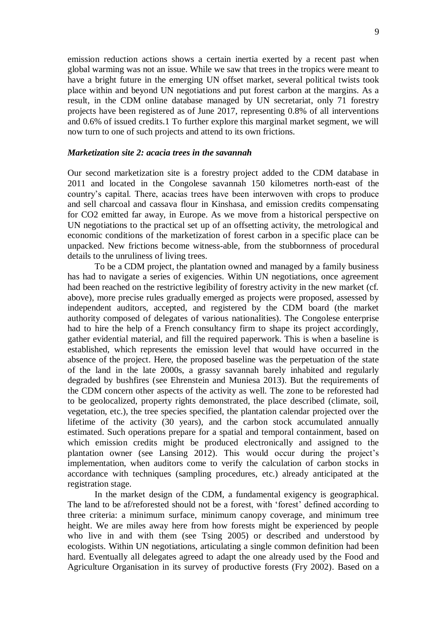emission reduction actions shows a certain inertia exerted by a recent past when global warming was not an issue. While we saw that trees in the tropics were meant to have a bright future in the emerging UN offset market, several political twists took place within and beyond UN negotiations and put forest carbon at the margins. As a result, in the CDM online database managed by UN secretariat, only 71 forestry projects have been registered as of June 2017, representing 0.8% of all interventions and 0.6% of issued credits.1 To further explore this marginal market segment, we will now turn to one of such projects and attend to its own frictions.

# *Marketization site 2: acacia trees in the savannah*

Our second marketization site is a forestry project added to the CDM database in 2011 and located in the Congolese savannah 150 kilometres north-east of the country's capital. There, acacias trees have been interwoven with crops to produce and sell charcoal and cassava flour in Kinshasa, and emission credits compensating for CO2 emitted far away, in Europe. As we move from a historical perspective on UN negotiations to the practical set up of an offsetting activity, the metrological and economic conditions of the marketization of forest carbon in a specific place can be unpacked. New frictions become witness-able, from the stubbornness of procedural details to the unruliness of living trees.

To be a CDM project, the plantation owned and managed by a family business has had to navigate a series of exigencies. Within UN negotiations, once agreement had been reached on the restrictive legibility of forestry activity in the new market (cf. above), more precise rules gradually emerged as projects were proposed, assessed by independent auditors, accepted, and registered by the CDM board (the market authority composed of delegates of various nationalities). The Congolese enterprise had to hire the help of a French consultancy firm to shape its project accordingly, gather evidential material, and fill the required paperwork. This is when a baseline is established, which represents the emission level that would have occurred in the absence of the project. Here, the proposed baseline was the perpetuation of the state of the land in the late 2000s, a grassy savannah barely inhabited and regularly degraded by bushfires (see Ehrenstein and Muniesa 2013). But the requirements of the CDM concern other aspects of the activity as well. The zone to be reforested had to be geolocalized, property rights demonstrated, the place described (climate, soil, vegetation, etc.), the tree species specified, the plantation calendar projected over the lifetime of the activity (30 years), and the carbon stock accumulated annually estimated. Such operations prepare for a spatial and temporal containment, based on which emission credits might be produced electronically and assigned to the plantation owner (see Lansing 2012). This would occur during the project's implementation, when auditors come to verify the calculation of carbon stocks in accordance with techniques (sampling procedures, etc.) already anticipated at the registration stage.

In the market design of the CDM, a fundamental exigency is geographical. The land to be af/reforested should not be a forest, with 'forest' defined according to three criteria: a minimum surface, minimum canopy coverage, and minimum tree height. We are miles away here from how forests might be experienced by people who live in and with them (see Tsing 2005) or described and understood by ecologists. Within UN negotiations, articulating a single common definition had been hard. Eventually all delegates agreed to adapt the one already used by the Food and Agriculture Organisation in its survey of productive forests (Fry 2002). Based on a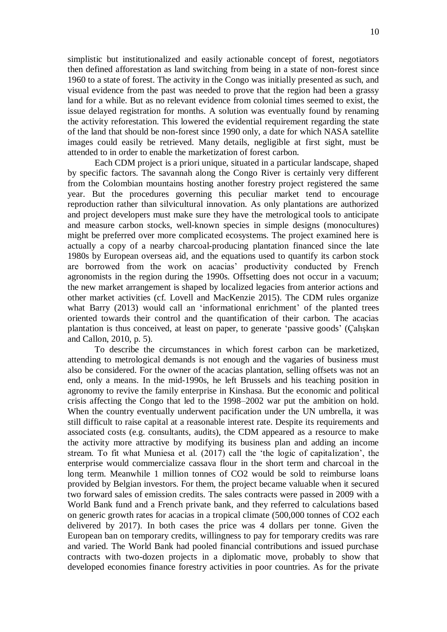simplistic but institutionalized and easily actionable concept of forest, negotiators then defined afforestation as land switching from being in a state of non-forest since 1960 to a state of forest. The activity in the Congo was initially presented as such, and visual evidence from the past was needed to prove that the region had been a grassy land for a while. But as no relevant evidence from colonial times seemed to exist, the issue delayed registration for months. A solution was eventually found by renaming the activity reforestation. This lowered the evidential requirement regarding the state of the land that should be non-forest since 1990 only, a date for which NASA satellite images could easily be retrieved. Many details, negligible at first sight, must be attended to in order to enable the marketization of forest carbon.

Each CDM project is a priori unique, situated in a particular landscape, shaped by specific factors. The savannah along the Congo River is certainly very different from the Colombian mountains hosting another forestry project registered the same year. But the procedures governing this peculiar market tend to encourage reproduction rather than silvicultural innovation. As only plantations are authorized and project developers must make sure they have the metrological tools to anticipate and measure carbon stocks, well-known species in simple designs (monocultures) might be preferred over more complicated ecosystems. The project examined here is actually a copy of a nearby charcoal-producing plantation financed since the late 1980s by European overseas aid, and the equations used to quantify its carbon stock are borrowed from the work on acacias' productivity conducted by French agronomists in the region during the 1990s. Offsetting does not occur in a vacuum; the new market arrangement is shaped by localized legacies from anterior actions and other market activities (cf. Lovell and MacKenzie 2015). The CDM rules organize what Barry (2013) would call an 'informational enrichment' of the planted trees oriented towards their control and the quantification of their carbon. The acacias plantation is thus conceived, at least on paper, to generate 'passive goods' (Çalışkan and Callon, 2010, p. 5).

To describe the circumstances in which forest carbon can be marketized, attending to metrological demands is not enough and the vagaries of business must also be considered. For the owner of the acacias plantation, selling offsets was not an end, only a means. In the mid-1990s, he left Brussels and his teaching position in agronomy to revive the family enterprise in Kinshasa. But the economic and political crisis affecting the Congo that led to the 1998–2002 war put the ambition on hold. When the country eventually underwent pacification under the UN umbrella, it was still difficult to raise capital at a reasonable interest rate. Despite its requirements and associated costs (e.g. consultants, audits), the CDM appeared as a resource to make the activity more attractive by modifying its business plan and adding an income stream. To fit what Muniesa et al. (2017) call the 'the logic of capitalization', the enterprise would commercialize cassava flour in the short term and charcoal in the long term. Meanwhile 1 million tonnes of CO2 would be sold to reimburse loans provided by Belgian investors. For them, the project became valuable when it secured two forward sales of emission credits. The sales contracts were passed in 2009 with a World Bank fund and a French private bank, and they referred to calculations based on generic growth rates for acacias in a tropical climate (500,000 tonnes of CO2 each delivered by 2017). In both cases the price was 4 dollars per tonne. Given the European ban on temporary credits, willingness to pay for temporary credits was rare and varied. The World Bank had pooled financial contributions and issued purchase contracts with two-dozen projects in a diplomatic move, probably to show that developed economies finance forestry activities in poor countries. As for the private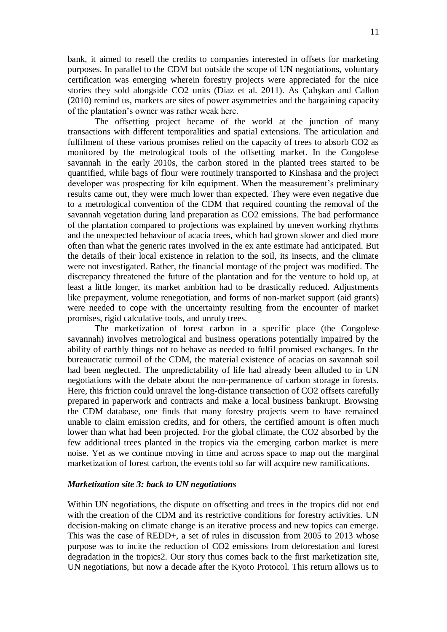bank, it aimed to resell the credits to companies interested in offsets for marketing purposes. In parallel to the CDM but outside the scope of UN negotiations, voluntary certification was emerging wherein forestry projects were appreciated for the nice stories they sold alongside CO2 units (Diaz et al. 2011). As Çalışkan and Callon (2010) remind us, markets are sites of power asymmetries and the bargaining capacity of the plantation's owner was rather weak here.

The offsetting project became of the world at the junction of many transactions with different temporalities and spatial extensions. The articulation and fulfilment of these various promises relied on the capacity of trees to absorb CO2 as monitored by the metrological tools of the offsetting market. In the Congolese savannah in the early 2010s, the carbon stored in the planted trees started to be quantified, while bags of flour were routinely transported to Kinshasa and the project developer was prospecting for kiln equipment. When the measurement's preliminary results came out, they were much lower than expected. They were even negative due to a metrological convention of the CDM that required counting the removal of the savannah vegetation during land preparation as CO2 emissions. The bad performance of the plantation compared to projections was explained by uneven working rhythms and the unexpected behaviour of acacia trees, which had grown slower and died more often than what the generic rates involved in the ex ante estimate had anticipated. But the details of their local existence in relation to the soil, its insects, and the climate were not investigated. Rather, the financial montage of the project was modified. The discrepancy threatened the future of the plantation and for the venture to hold up, at least a little longer, its market ambition had to be drastically reduced. Adjustments like prepayment, volume renegotiation, and forms of non-market support (aid grants) were needed to cope with the uncertainty resulting from the encounter of market promises, rigid calculative tools, and unruly trees.

The marketization of forest carbon in a specific place (the Congolese savannah) involves metrological and business operations potentially impaired by the ability of earthly things not to behave as needed to fulfil promised exchanges. In the bureaucratic turmoil of the CDM, the material existence of acacias on savannah soil had been neglected. The unpredictability of life had already been alluded to in UN negotiations with the debate about the non-permanence of carbon storage in forests. Here, this friction could unravel the long-distance transaction of CO2 offsets carefully prepared in paperwork and contracts and make a local business bankrupt. Browsing the CDM database, one finds that many forestry projects seem to have remained unable to claim emission credits, and for others, the certified amount is often much lower than what had been projected. For the global climate, the CO2 absorbed by the few additional trees planted in the tropics via the emerging carbon market is mere noise. Yet as we continue moving in time and across space to map out the marginal marketization of forest carbon, the events told so far will acquire new ramifications.

#### *Marketization site 3: back to UN negotiations*

Within UN negotiations, the dispute on offsetting and trees in the tropics did not end with the creation of the CDM and its restrictive conditions for forestry activities. UN decision-making on climate change is an iterative process and new topics can emerge. This was the case of REDD+, a set of rules in discussion from 2005 to 2013 whose purpose was to incite the reduction of CO2 emissions from deforestation and forest degradation in the tropics2. Our story thus comes back to the first marketization site, UN negotiations, but now a decade after the Kyoto Protocol. This return allows us to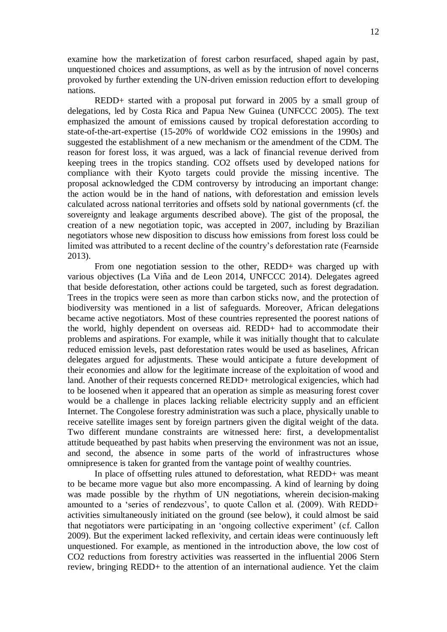examine how the marketization of forest carbon resurfaced, shaped again by past, unquestioned choices and assumptions, as well as by the intrusion of novel concerns provoked by further extending the UN-driven emission reduction effort to developing nations.

REDD+ started with a proposal put forward in 2005 by a small group of delegations, led by Costa Rica and Papua New Guinea (UNFCCC 2005). The text emphasized the amount of emissions caused by tropical deforestation according to state-of-the-art-expertise (15-20% of worldwide CO2 emissions in the 1990s) and suggested the establishment of a new mechanism or the amendment of the CDM. The reason for forest loss, it was argued, was a lack of financial revenue derived from keeping trees in the tropics standing. CO2 offsets used by developed nations for compliance with their Kyoto targets could provide the missing incentive. The proposal acknowledged the CDM controversy by introducing an important change: the action would be in the hand of nations, with deforestation and emission levels calculated across national territories and offsets sold by national governments (cf. the sovereignty and leakage arguments described above). The gist of the proposal, the creation of a new negotiation topic, was accepted in 2007, including by Brazilian negotiators whose new disposition to discuss how emissions from forest loss could be limited was attributed to a recent decline of the country's deforestation rate (Fearnside 2013).

From one negotiation session to the other, REDD+ was charged up with various objectives (La Viña and de Leon 2014, UNFCCC 2014). Delegates agreed that beside deforestation, other actions could be targeted, such as forest degradation. Trees in the tropics were seen as more than carbon sticks now, and the protection of biodiversity was mentioned in a list of safeguards. Moreover, African delegations became active negotiators. Most of these countries represented the poorest nations of the world, highly dependent on overseas aid. REDD+ had to accommodate their problems and aspirations. For example, while it was initially thought that to calculate reduced emission levels, past deforestation rates would be used as baselines, African delegates argued for adjustments. These would anticipate a future development of their economies and allow for the legitimate increase of the exploitation of wood and land. Another of their requests concerned REDD+ metrological exigencies, which had to be loosened when it appeared that an operation as simple as measuring forest cover would be a challenge in places lacking reliable electricity supply and an efficient Internet. The Congolese forestry administration was such a place, physically unable to receive satellite images sent by foreign partners given the digital weight of the data. Two different mundane constraints are witnessed here: first, a developmentalist attitude bequeathed by past habits when preserving the environment was not an issue, and second, the absence in some parts of the world of infrastructures whose omnipresence is taken for granted from the vantage point of wealthy countries.

In place of offsetting rules attuned to deforestation, what REDD+ was meant to be became more vague but also more encompassing. A kind of learning by doing was made possible by the rhythm of UN negotiations, wherein decision-making amounted to a 'series of rendezvous', to quote Callon et al. (2009). With REDD+ activities simultaneously initiated on the ground (see below), it could almost be said that negotiators were participating in an 'ongoing collective experiment' (cf. Callon 2009). But the experiment lacked reflexivity, and certain ideas were continuously left unquestioned. For example, as mentioned in the introduction above, the low cost of CO2 reductions from forestry activities was reasserted in the influential 2006 Stern review, bringing REDD+ to the attention of an international audience. Yet the claim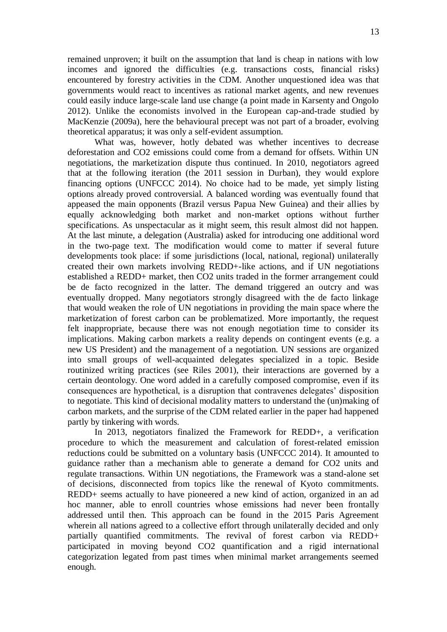remained unproven; it built on the assumption that land is cheap in nations with low incomes and ignored the difficulties (e.g. transactions costs, financial risks) encountered by forestry activities in the CDM. Another unquestioned idea was that governments would react to incentives as rational market agents, and new revenues could easily induce large-scale land use change (a point made in Karsenty and Ongolo 2012). Unlike the economists involved in the European cap-and-trade studied by MacKenzie (2009a), here the behavioural precept was not part of a broader, evolving theoretical apparatus; it was only a self-evident assumption.

What was, however, hotly debated was whether incentives to decrease deforestation and CO2 emissions could come from a demand for offsets. Within UN negotiations, the marketization dispute thus continued. In 2010, negotiators agreed that at the following iteration (the 2011 session in Durban), they would explore financing options (UNFCCC 2014). No choice had to be made, yet simply listing options already proved controversial. A balanced wording was eventually found that appeased the main opponents (Brazil versus Papua New Guinea) and their allies by equally acknowledging both market and non-market options without further specifications. As unspectacular as it might seem, this result almost did not happen. At the last minute, a delegation (Australia) asked for introducing one additional word in the two-page text. The modification would come to matter if several future developments took place: if some jurisdictions (local, national, regional) unilaterally created their own markets involving REDD+-like actions, and if UN negotiations established a REDD+ market, then CO2 units traded in the former arrangement could be de facto recognized in the latter. The demand triggered an outcry and was eventually dropped. Many negotiators strongly disagreed with the de facto linkage that would weaken the role of UN negotiations in providing the main space where the marketization of forest carbon can be problematized. More importantly, the request felt inappropriate, because there was not enough negotiation time to consider its implications. Making carbon markets a reality depends on contingent events (e.g. a new US President) and the management of a negotiation. UN sessions are organized into small groups of well-acquainted delegates specialized in a topic. Beside routinized writing practices (see Riles 2001), their interactions are governed by a certain deontology. One word added in a carefully composed compromise, even if its consequences are hypothetical, is a disruption that contravenes delegates' disposition to negotiate. This kind of decisional modality matters to understand the (un)making of carbon markets, and the surprise of the CDM related earlier in the paper had happened partly by tinkering with words.

In 2013, negotiators finalized the Framework for REDD+, a verification procedure to which the measurement and calculation of forest-related emission reductions could be submitted on a voluntary basis (UNFCCC 2014). It amounted to guidance rather than a mechanism able to generate a demand for CO2 units and regulate transactions. Within UN negotiations, the Framework was a stand-alone set of decisions, disconnected from topics like the renewal of Kyoto commitments. REDD+ seems actually to have pioneered a new kind of action, organized in an ad hoc manner, able to enroll countries whose emissions had never been frontally addressed until then. This approach can be found in the 2015 Paris Agreement wherein all nations agreed to a collective effort through unilaterally decided and only partially quantified commitments. The revival of forest carbon via REDD+ participated in moving beyond CO2 quantification and a rigid international categorization legated from past times when minimal market arrangements seemed enough.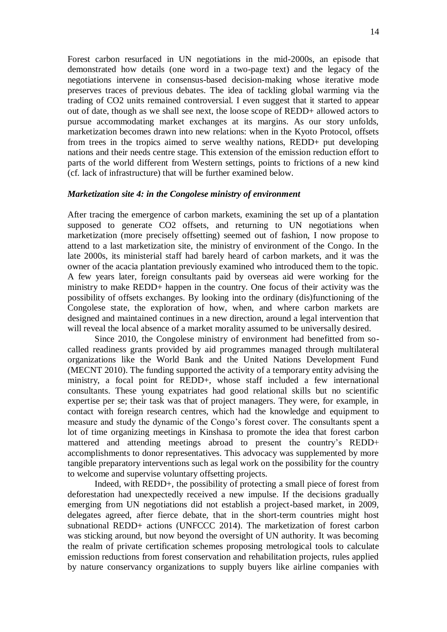Forest carbon resurfaced in UN negotiations in the mid-2000s, an episode that demonstrated how details (one word in a two-page text) and the legacy of the negotiations intervene in consensus-based decision-making whose iterative mode preserves traces of previous debates. The idea of tackling global warming via the trading of CO2 units remained controversial. I even suggest that it started to appear out of date, though as we shall see next, the loose scope of REDD+ allowed actors to pursue accommodating market exchanges at its margins. As our story unfolds, marketization becomes drawn into new relations: when in the Kyoto Protocol, offsets from trees in the tropics aimed to serve wealthy nations, REDD+ put developing nations and their needs centre stage. This extension of the emission reduction effort to parts of the world different from Western settings, points to frictions of a new kind (cf. lack of infrastructure) that will be further examined below.

## *Marketization site 4: in the Congolese ministry of environment*

After tracing the emergence of carbon markets, examining the set up of a plantation supposed to generate CO2 offsets, and returning to UN negotiations when marketization (more precisely offsetting) seemed out of fashion, I now propose to attend to a last marketization site, the ministry of environment of the Congo. In the late 2000s, its ministerial staff had barely heard of carbon markets, and it was the owner of the acacia plantation previously examined who introduced them to the topic. A few years later, foreign consultants paid by overseas aid were working for the ministry to make REDD+ happen in the country. One focus of their activity was the possibility of offsets exchanges. By looking into the ordinary (dis)functioning of the Congolese state, the exploration of how, when, and where carbon markets are designed and maintained continues in a new direction, around a legal intervention that will reveal the local absence of a market morality assumed to be universally desired.

Since 2010, the Congolese ministry of environment had benefitted from socalled readiness grants provided by aid programmes managed through multilateral organizations like the World Bank and the United Nations Development Fund (MECNT 2010). The funding supported the activity of a temporary entity advising the ministry, a focal point for REDD+, whose staff included a few international consultants. These young expatriates had good relational skills but no scientific expertise per se; their task was that of project managers. They were, for example, in contact with foreign research centres, which had the knowledge and equipment to measure and study the dynamic of the Congo's forest cover. The consultants spent a lot of time organizing meetings in Kinshasa to promote the idea that forest carbon mattered and attending meetings abroad to present the country's REDD+ accomplishments to donor representatives. This advocacy was supplemented by more tangible preparatory interventions such as legal work on the possibility for the country to welcome and supervise voluntary offsetting projects.

Indeed, with REDD+, the possibility of protecting a small piece of forest from deforestation had unexpectedly received a new impulse. If the decisions gradually emerging from UN negotiations did not establish a project-based market, in 2009, delegates agreed, after fierce debate, that in the short-term countries might host subnational REDD+ actions (UNFCCC 2014). The marketization of forest carbon was sticking around, but now beyond the oversight of UN authority. It was becoming the realm of private certification schemes proposing metrological tools to calculate emission reductions from forest conservation and rehabilitation projects, rules applied by nature conservancy organizations to supply buyers like airline companies with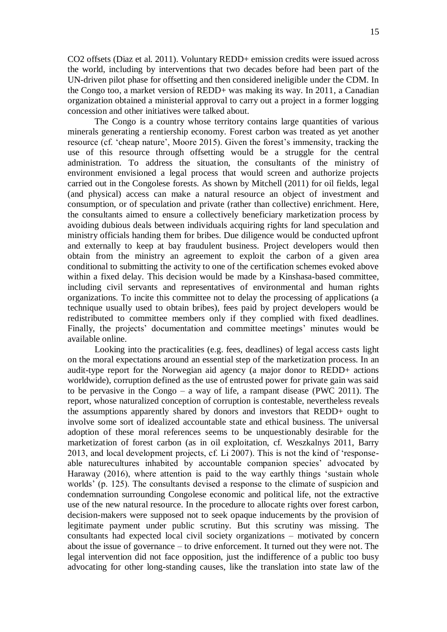CO2 offsets (Diaz et al. 2011). Voluntary REDD+ emission credits were issued across the world, including by interventions that two decades before had been part of the UN-driven pilot phase for offsetting and then considered ineligible under the CDM. In the Congo too, a market version of REDD+ was making its way. In 2011, a Canadian organization obtained a ministerial approval to carry out a project in a former logging concession and other initiatives were talked about.

The Congo is a country whose territory contains large quantities of various minerals generating a rentiership economy. Forest carbon was treated as yet another resource (cf. 'cheap nature', Moore 2015). Given the forest's immensity, tracking the use of this resource through offsetting would be a struggle for the central administration. To address the situation, the consultants of the ministry of environment envisioned a legal process that would screen and authorize projects carried out in the Congolese forests. As shown by Mitchell (2011) for oil fields, legal (and physical) access can make a natural resource an object of investment and consumption, or of speculation and private (rather than collective) enrichment. Here, the consultants aimed to ensure a collectively beneficiary marketization process by avoiding dubious deals between individuals acquiring rights for land speculation and ministry officials handing them for bribes. Due diligence would be conducted upfront and externally to keep at bay fraudulent business. Project developers would then obtain from the ministry an agreement to exploit the carbon of a given area conditional to submitting the activity to one of the certification schemes evoked above within a fixed delay. This decision would be made by a Kinshasa-based committee, including civil servants and representatives of environmental and human rights organizations. To incite this committee not to delay the processing of applications (a technique usually used to obtain bribes), fees paid by project developers would be redistributed to committee members only if they complied with fixed deadlines. Finally, the projects' documentation and committee meetings' minutes would be available online.

Looking into the practicalities (e.g. fees, deadlines) of legal access casts light on the moral expectations around an essential step of the marketization process. In an audit-type report for the Norwegian aid agency (a major donor to REDD+ actions worldwide), corruption defined as the use of entrusted power for private gain was said to be pervasive in the Congo – a way of life, a rampant disease (PWC 2011). The report, whose naturalized conception of corruption is contestable, nevertheless reveals the assumptions apparently shared by donors and investors that REDD+ ought to involve some sort of idealized accountable state and ethical business. The universal adoption of these moral references seems to be unquestionably desirable for the marketization of forest carbon (as in oil exploitation, cf. Weszkalnys 2011, Barry 2013, and local development projects, cf. Li 2007). This is not the kind of 'responseable naturecultures inhabited by accountable companion species' advocated by Haraway (2016), where attention is paid to the way earthly things 'sustain whole worlds' (p. 125). The consultants devised a response to the climate of suspicion and condemnation surrounding Congolese economic and political life, not the extractive use of the new natural resource. In the procedure to allocate rights over forest carbon, decision-makers were supposed not to seek opaque inducements by the provision of legitimate payment under public scrutiny. But this scrutiny was missing. The consultants had expected local civil society organizations – motivated by concern about the issue of governance – to drive enforcement. It turned out they were not. The legal intervention did not face opposition, just the indifference of a public too busy advocating for other long-standing causes, like the translation into state law of the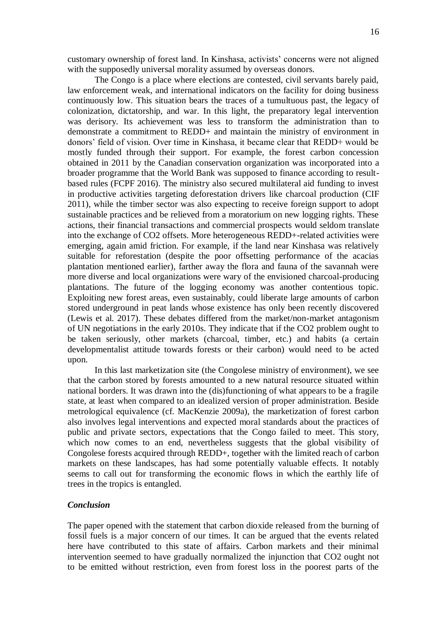customary ownership of forest land. In Kinshasa, activists' concerns were not aligned with the supposedly universal morality assumed by overseas donors.

The Congo is a place where elections are contested, civil servants barely paid, law enforcement weak, and international indicators on the facility for doing business continuously low. This situation bears the traces of a tumultuous past, the legacy of colonization, dictatorship, and war. In this light, the preparatory legal intervention was derisory. Its achievement was less to transform the administration than to demonstrate a commitment to REDD+ and maintain the ministry of environment in donors' field of vision. Over time in Kinshasa, it became clear that REDD+ would be mostly funded through their support. For example, the forest carbon concession obtained in 2011 by the Canadian conservation organization was incorporated into a broader programme that the World Bank was supposed to finance according to resultbased rules (FCPF 2016). The ministry also secured multilateral aid funding to invest in productive activities targeting deforestation drivers like charcoal production (CIF 2011), while the timber sector was also expecting to receive foreign support to adopt sustainable practices and be relieved from a moratorium on new logging rights. These actions, their financial transactions and commercial prospects would seldom translate into the exchange of CO2 offsets. More heterogeneous REDD+-related activities were emerging, again amid friction. For example, if the land near Kinshasa was relatively suitable for reforestation (despite the poor offsetting performance of the acacias plantation mentioned earlier), farther away the flora and fauna of the savannah were more diverse and local organizations were wary of the envisioned charcoal-producing plantations. The future of the logging economy was another contentious topic. Exploiting new forest areas, even sustainably, could liberate large amounts of carbon stored underground in peat lands whose existence has only been recently discovered (Lewis et al. 2017). These debates differed from the market/non-market antagonism of UN negotiations in the early 2010s. They indicate that if the CO2 problem ought to be taken seriously, other markets (charcoal, timber, etc.) and habits (a certain developmentalist attitude towards forests or their carbon) would need to be acted upon.

In this last marketization site (the Congolese ministry of environment), we see that the carbon stored by forests amounted to a new natural resource situated within national borders. It was drawn into the (dis)functioning of what appears to be a fragile state, at least when compared to an idealized version of proper administration. Beside metrological equivalence (cf. MacKenzie 2009a), the marketization of forest carbon also involves legal interventions and expected moral standards about the practices of public and private sectors, expectations that the Congo failed to meet. This story, which now comes to an end, nevertheless suggests that the global visibility of Congolese forests acquired through REDD+, together with the limited reach of carbon markets on these landscapes, has had some potentially valuable effects. It notably seems to call out for transforming the economic flows in which the earthly life of trees in the tropics is entangled.

## *Conclusion*

The paper opened with the statement that carbon dioxide released from the burning of fossil fuels is a major concern of our times. It can be argued that the events related here have contributed to this state of affairs. Carbon markets and their minimal intervention seemed to have gradually normalized the injunction that CO2 ought not to be emitted without restriction, even from forest loss in the poorest parts of the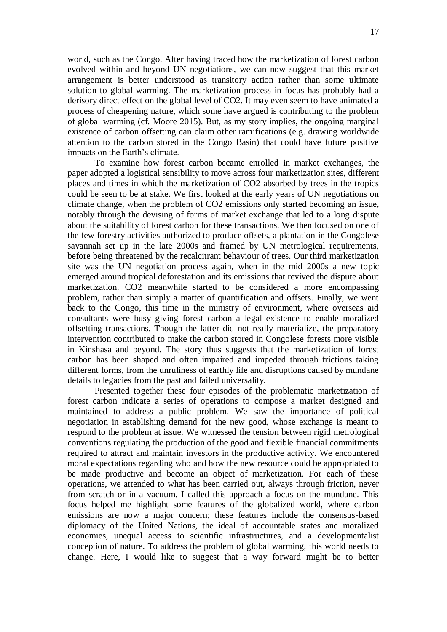world, such as the Congo. After having traced how the marketization of forest carbon evolved within and beyond UN negotiations, we can now suggest that this market arrangement is better understood as transitory action rather than some ultimate solution to global warming. The marketization process in focus has probably had a derisory direct effect on the global level of CO2. It may even seem to have animated a process of cheapening nature, which some have argued is contributing to the problem of global warming (cf. Moore 2015). But, as my story implies, the ongoing marginal existence of carbon offsetting can claim other ramifications (e.g. drawing worldwide attention to the carbon stored in the Congo Basin) that could have future positive impacts on the Earth's climate.

To examine how forest carbon became enrolled in market exchanges, the paper adopted a logistical sensibility to move across four marketization sites, different places and times in which the marketization of CO2 absorbed by trees in the tropics could be seen to be at stake. We first looked at the early years of UN negotiations on climate change, when the problem of CO2 emissions only started becoming an issue, notably through the devising of forms of market exchange that led to a long dispute about the suitability of forest carbon for these transactions. We then focused on one of the few forestry activities authorized to produce offsets, a plantation in the Congolese savannah set up in the late 2000s and framed by UN metrological requirements, before being threatened by the recalcitrant behaviour of trees. Our third marketization site was the UN negotiation process again, when in the mid 2000s a new topic emerged around tropical deforestation and its emissions that revived the dispute about marketization. CO2 meanwhile started to be considered a more encompassing problem, rather than simply a matter of quantification and offsets. Finally, we went back to the Congo, this time in the ministry of environment, where overseas aid consultants were busy giving forest carbon a legal existence to enable moralized offsetting transactions. Though the latter did not really materialize, the preparatory intervention contributed to make the carbon stored in Congolese forests more visible in Kinshasa and beyond. The story thus suggests that the marketization of forest carbon has been shaped and often impaired and impeded through frictions taking different forms, from the unruliness of earthly life and disruptions caused by mundane details to legacies from the past and failed universality.

Presented together these four episodes of the problematic marketization of forest carbon indicate a series of operations to compose a market designed and maintained to address a public problem. We saw the importance of political negotiation in establishing demand for the new good, whose exchange is meant to respond to the problem at issue. We witnessed the tension between rigid metrological conventions regulating the production of the good and flexible financial commitments required to attract and maintain investors in the productive activity. We encountered moral expectations regarding who and how the new resource could be appropriated to be made productive and become an object of marketization. For each of these operations, we attended to what has been carried out, always through friction, never from scratch or in a vacuum. I called this approach a focus on the mundane. This focus helped me highlight some features of the globalized world, where carbon emissions are now a major concern; these features include the consensus-based diplomacy of the United Nations, the ideal of accountable states and moralized economies, unequal access to scientific infrastructures, and a developmentalist conception of nature. To address the problem of global warming, this world needs to change. Here, I would like to suggest that a way forward might be to better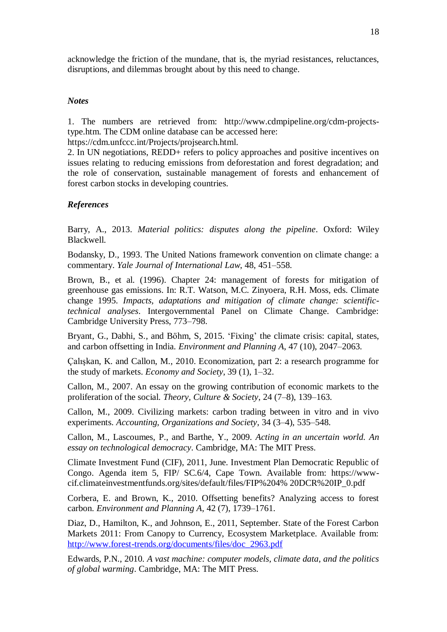acknowledge the friction of the mundane, that is, the myriad resistances, reluctances, disruptions, and dilemmas brought about by this need to change.

# *Notes*

1. The numbers are retrieved from: http://www.cdmpipeline.org/cdm-projectstype.htm. The CDM online database can be accessed here:

https://cdm.unfccc.int/Projects/projsearch.html.

2. In UN negotiations, REDD+ refers to policy approaches and positive incentives on issues relating to reducing emissions from deforestation and forest degradation; and the role of conservation, sustainable management of forests and enhancement of forest carbon stocks in developing countries.

# *References*

Barry, A., 2013. *Material politics: disputes along the pipeline*. Oxford: Wiley Blackwell.

Bodansky, D., 1993. The United Nations framework convention on climate change: a commentary. *Yale Journal of International Law*, 48, 451–558.

Brown, B., et al. (1996). Chapter 24: management of forests for mitigation of greenhouse gas emissions. In: R.T. Watson, M.C. Zinyoera, R.H. Moss, eds. Climate change 1995. *Impacts, adaptations and mitigation of climate change: scientifictechnical analyses*. Intergovernmental Panel on Climate Change. Cambridge: Cambridge University Press, 773–798.

Bryant, G., Dabhi, S., and Böhm, S, 2015. 'Fixing' the climate crisis: capital, states, and carbon offsetting in India. *Environment and Planning A*, 47 (10), 2047–2063.

Ç alışkan, K. and Callon, M., 2010. Economization, part 2: a research programme for the study of markets. *Economy and Society*, 39 (1), 1–32.

Callon, M., 2007. An essay on the growing contribution of economic markets to the proliferation of the social. *Theory, Culture & Society*, 24 (7–8), 139–163.

Callon, M., 2009. Civilizing markets: carbon trading between in vitro and in vivo experiments. *Accounting, Organizations and Society*, 34 (3–4), 535–548.

Callon, M., Lascoumes, P., and Barthe, Y., 2009. *Acting in an uncertain world. An essay on technological democracy*. Cambridge, MA: The MIT Press.

Climate Investment Fund (CIF), 2011, June. Investment Plan Democratic Republic of Congo. Agenda item 5, FIP/ SC.6/4, Cape Town. Available from: https://wwwcif.climateinvestmentfunds.org/sites/default/files/FIP%204% 20DCR%20IP\_0.pdf

Corbera, E. and Brown, K., 2010. Offsetting benefits? Analyzing access to forest carbon. *Environment and Planning A*, 42 (7), 1739–1761.

Diaz, D., Hamilton, K., and Johnson, E., 2011, September. State of the Forest Carbon Markets 2011: From Canopy to Currency, Ecosystem Marketplace. Available from: [http://www.forest-trends.org/documents/files/doc\\_2963.pdf](http://www.forest-trends.org/documents/files/doc_2963.pdf)

Edwards, P.N., 2010. *A vast machine: computer models, climate data, and the politics of global warming*. Cambridge, MA: The MIT Press.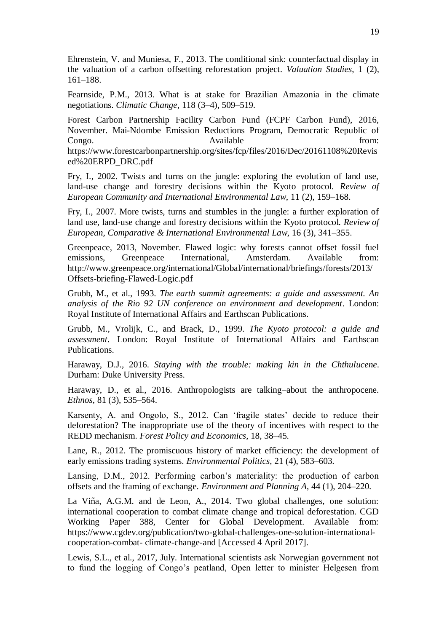Ehrenstein, V. and Muniesa, F., 2013. The conditional sink: counterfactual display in the valuation of a carbon offsetting reforestation project. *Valuation Studies*, 1 (2), 161–188.

Fearnside, P.M., 2013. What is at stake for Brazilian Amazonia in the climate negotiations. *Climatic Change*, 118 (3–4), 509–519.

Forest Carbon Partnership Facility Carbon Fund (FCPF Carbon Fund), 2016, November. Mai-Ndombe Emission Reductions Program, Democratic Republic of Congo. Available from: https://www.forestcarbonpartnership.org/sites/fcp/files/2016/Dec/20161108%20Revis ed%20ERPD\_DRC.pdf

Fry, I., 2002. Twists and turns on the jungle: exploring the evolution of land use, land-use change and forestry decisions within the Kyoto protocol. *Review of European Community and International Environmental Law*, 11 (2), 159–168.

Fry, I., 2007. More twists, turns and stumbles in the jungle: a further exploration of land use, land-use change and forestry decisions within the Kyoto protocol. *Review of European, Comparative & International Environmental Law*, 16 (3), 341–355.

Greenpeace, 2013, November. Flawed logic: why forests cannot offset fossil fuel emissions, Greenpeace International, Amsterdam. Available from: http://www.greenpeace.org/international/Global/international/briefings/forests/2013/ Offsets-briefing-Flawed-Logic.pdf

Grubb, M., et al., 1993. *The earth summit agreements: a guide and assessment. An analysis of the Rio 92 UN conference on environment and development*. London: Royal Institute of International Affairs and Earthscan Publications.

Grubb, M., Vrolijk, C., and Brack, D., 1999. *The Kyoto protocol: a guide and assessment*. London: Royal Institute of International Affairs and Earthscan Publications.

Haraway, D.J., 2016. *Staying with the trouble: making kin in the Chthulucene*. Durham: Duke University Press.

Haraway, D., et al., 2016. Anthropologists are talking–about the anthropocene. *Ethnos*, 81 (3), 535–564.

Karsenty, A. and Ongolo, S., 2012. Can 'fragile states' decide to reduce their deforestation? The inappropriate use of the theory of incentives with respect to the REDD mechanism. *Forest Policy and Economics*, 18, 38–45.

Lane, R., 2012. The promiscuous history of market efficiency: the development of early emissions trading systems. *Environmental Politics*, 21 (4), 583–603.

Lansing, D.M., 2012. Performing carbon's materiality: the production of carbon offsets and the framing of exchange. *Environment and Planning A*, 44 (1), 204–220.

La Viña, A.G.M. and de Leon, A., 2014. Two global challenges, one solution: international cooperation to combat climate change and tropical deforestation. CGD Working Paper 388, Center for Global Development. Available from: https://www.cgdev.org/publication/two-global-challenges-one-solution-internationalcooperation-combat- climate-change-and [Accessed 4 April 2017].

Lewis, S.L., et al., 2017, July. International scientists ask Norwegian government not to fund the logging of Congo's peatland, Open letter to minister Helgesen from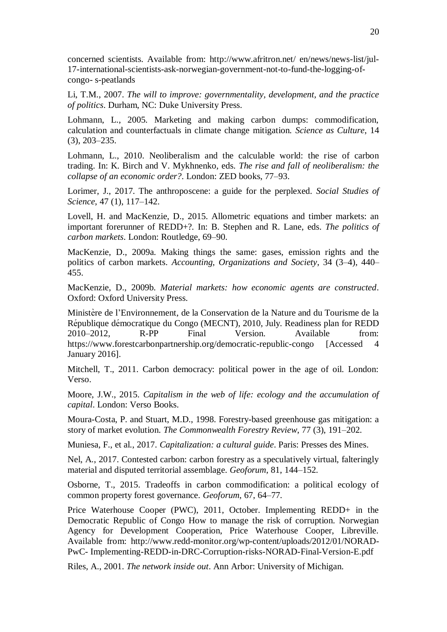concerned scientists. Available from: http://www.afritron.net/ en/news/news-list/jul-17-international-scientists-ask-norwegian-government-not-to-fund-the-logging-ofcongo- s-peatlands

Li, T.M., 2007. *The will to improve: governmentality, development, and the practice of politics*. Durham, NC: Duke University Press.

Lohmann, L., 2005. Marketing and making carbon dumps: commodification, calculation and counterfactuals in climate change mitigation*. Science as Culture*, 14 (3), 203–235.

Lohmann, L., 2010. Neoliberalism and the calculable world: the rise of carbon trading. In: K. Birch and V. Mykhnenko, eds. *The rise and fall of neoliberalism: the collapse of an economic order?*. London: ZED books, 77–93.

Lorimer, J., 2017. The anthroposcene: a guide for the perplexed. *Social Studies of Science*, 47 (1), 117–142.

Lovell, H. and MacKenzie, D., 2015. Allometric equations and timber markets: an important forerunner of REDD+?. In: B. Stephen and R. Lane, eds. *The politics of carbon markets*. London: Routledge, 69–90.

MacKenzie, D., 2009a. Making things the same: gases, emission rights and the politics of carbon markets. *Accounting, Organizations and Society*, 34 (3–4), 440– 455.

MacKenzie, D., 2009b. *Material markets: how economic agents are constructed*. Oxford: Oxford University Press.

Ministère de l'Environnement, de la Conservation de la Nature and du Tourisme de la République démocratique du Congo (MECNT), 2010, July. Readiness plan for REDD  $2010 - 2012$ https://www.forestcarbonpartnership.org/democratic-republic-congo [Accessed 4 January 2016].

Mitchell, T., 2011. Carbon democracy: political power in the age of oil. London: Verso.

Moore, J.W., 2015. *Capitalism in the web of life: ecology and the accumulation of capital*. London: Verso Books.

Moura-Costa, P. and Stuart, M.D., 1998. Forestry-based greenhouse gas mitigation: a story of market evolution. *The Commonwealth Forestry Review*, 77 (3), 191–202.

Muniesa, F., et al., 2017. *Capitalization: a cultural guide*. Paris: Presses des Mines.

Nel, A., 2017. Contested carbon: carbon forestry as a speculatively virtual, falteringly material and disputed territorial assemblage. *Geoforum*, 81, 144–152.

Osborne, T., 2015. Tradeoffs in carbon commodification: a political ecology of common property forest governance. *Geoforum*, 67, 64–77.

Price Waterhouse Cooper (PWC), 2011, October. Implementing REDD+ in the Democratic Republic of Congo How to manage the risk of corruption. Norwegian Agency for Development Cooperation, Price Waterhouse Cooper, Libreville. Available from: http://www.redd-monitor.org/wp-content/uploads/2012/01/NORAD-PwC- Implementing-REDD-in-DRC-Corruption-risks-NORAD-Final-Version-E.pdf

Riles, A., 2001. *The network inside out*. Ann Arbor: University of Michigan.